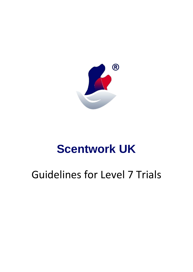

# **Scentwork UK**

## Guidelines for Level 7 Trials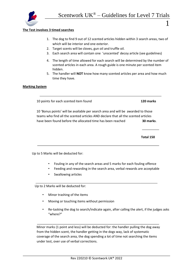

#### **The Test involves 3 timed searches**

- 1. The dog to find 9 out of 12 scented articles hidden within 3 search areas, two of which will be interior and one exterior.
- 2. Target scents will be cloves, gun oil and truffle oil.
- 3. Each search area will contain one 'unscented' decoy article (see guidelines)
- 4. The length of time allowed for each search will be determined by the number of scented articles in each area. A rough guide is one minute per scented item hidden.
- 5. The handler will **NOT** know how many scented articles per area and how much time they have.

#### **Marking System**

10 points for each scented item found **120 marks** 

10 'Bonus points' will be available per search area and will be awarded to those teams who find all the scented articles AND declare that all the scented articles have been found before the allocated time has been reached **30 marks**.

**Total 150** 

1

i<br>I

 $\ddot{\phantom{0}}$ 

.

i<br>I

Up to 5 Marks will be deducted for:

- Fouling in any of the search areas and 5 marks for each fouling offence
- Feeding and rewarding in the search area, verbal rewards are acceptable
- Swallowing articles

Up to 2 Marks will be deducted for:

- Minor trashing of the items
- Moving or touching items without permission
- Re-tasking the dog to search/indicate again, after calling the alert, if the judges asks "where?"

l, Minor marks (1 point and less) will be deducted for: the handler pulling the dog away from the hidden scent, the handler getting in the dogs way, lack of systematic coverage of the search area, the dog spending a lot of time not searching the items under test, over use of verbal corrections.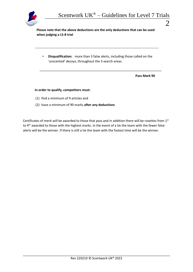

 $\mathcal{D}_{\cdot}$ 

l,

**Please note that the above deductions are the only deductions that can be used when judging a L5-8 trial** 

• **Disqualification:** more than 3 false alerts, including those called on the 'unscented' decoys, throughout the 3 search areas.

**Pass Mark 90** 

#### **In order to qualify, competitors must:**

- (1) find a minimum of 9 articles and
- (2) have a minimum of 90 marks **after any deductions**

Certificates of merit will be awarded to those that pass and in addition there will be rosettes from 1st to 4<sup>th</sup> awarded to those with the highest marks. In the event of a tie the team with the fewer false alerts will be the winner. If there is still a tie the team with the fastest time will be the winner.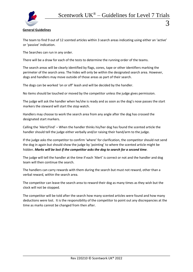

### **General Guidelines**

The team to find 9 out of 12 scented articles within 3 search areas indicating using either an 'active' or 'passive' indication.

The Searches can run in any order.

There will be a draw for each of the tests to determine the running order of the teams.

The search areas will be clearly identified by flags, cones, tape or other identifiers marking the perimeter of the search area. The hides will only be within the designated search area. However, dogs and handlers may move outside of those areas as part of their search.

The dogs can be worked 'on or off' leash and will be decided by the handler.

No items should be touched or moved by the competitor unless the judge gives permission.

The judge will ask the handler when he/she is ready and as soon as the dog's nose passes the start markers the steward will start the stop watch.

Handlers may choose to work the search area from any angle after the dog has crossed the designated start markers.

Calling the 'Alert/Find' – When the handler thinks his/her dog has found the scented article the handler should tell the judge either verbally and/or raising their hand/arm to the judge.

If the judge asks the competitor to confirm 'where' for clarification, the competitor should not send the dog in again but should show the judge by 'pointing' to where the scented article might be hidden. *Marks will be lost if the competitor asks the dog to search for a second time.*

The judge will tell the handler at the time if each 'Alert' is correct or not and the handler and dog team will then continue the search.

The handlers can carry rewards with them during the search but must not reward, other than a verbal reward, within the search area.

The competitor can leave the search area to reward their dog as many times as they wish but the clock will not be stopped.

The competitor will be told after the search how many scented articles were found and how many deductions were lost. It is the responsibility of the competitor to point out any discrepancies at the time as marks cannot be changed from then after.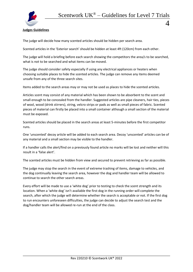

**Judges Guidelines** 

The judge will decide how many scented articles should be hidden per search area.

Scented articles in the 'Exterior search' should be hidden at least 4ft (120cm) from each other.

The judge will hold a briefing before each search showing the competitors the area/s to be searched, what is not to be searched and what items can be moved.

The judge should consider safety especially if using any electrical appliances or heaters when choosing suitable places to hide the scented articles. The judge can remove any items deemed unsafe from any of the three search sites.

Items added to the search areas may or may not be used as places to hide the scented articles.

Articles scent may consist of any material which has been shown to be absorbent to the scent and small enough to be concealed from the handler. Suggested articles are pipe cleaners, hair ties, pieces of wool, wood (drink stirrers), string, velcro strips or pads as well as small pieces of fabric. Scented pieces of material can firstly be placed into a small container although a small section of the material must be exposed.

Scented articles should be placed in the search areas at least 5-minutes before the first competitor runs.

One 'unscented' decoy article will be added to each search area. Decoy 'unscented' articles can be of any material and a small section may be visible to the handler.

If a handler calls the alert/find on a previously found article no marks will be lost and neither will this result in a 'false alert'.

The scented articles must be hidden from view and secured to prevent retrieving as far as possible.

The judge may stop the search in the event of extreme trashing of items, damage to vehicles, and the dog continually leaving the search area, however the dog and handler team will be allowed to continue to search the other search areas.

Every effort will be made to use a 'white dog' prior to testing to check the scent strength and its location. When a 'white dog' isn't available the first dog in the running order will complete the search, after which the judge will determine whether the search is acceptable or not. If the first dog to run encounters unforeseen difficulties, the judge can decide to adjust the search test and the dog/handler team will be allowed re-run at the end of the class.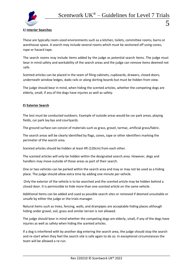

## **1) Interior Searches**

These are typically room-sized environments such as a kitchen, toilets, committee rooms, barns or warehouse space. A search may include several rooms which must be sectioned off using cones, rope or hazard tape.

The search rooms may include items added by the judge as potential search items. The judge must bear in mind safety and workability of the search areas and the judge can remove items deemed not safe.

Scented articles can be placed in the seam of filing cabinets, cupboards, drawers, closed doors, underneath window ledges, dado rails or along skirting boards but must be hidden from view.

The judge should bear in mind, when hiding the scented articles, whether the competing dogs are elderly, small, if any of the dogs have injuries as well as safety.

## **2) Exterior Search**

The test must be conducted outdoors. Example of outside areas would be car park areas, playing fields, car park lay-bys and courtyards.

The ground surface can consist of materials such as grass, gravel, tarmac, artificial grass/fabric.

The search areas will be clearly identified by flags, cones, tape or other identifiers marking the perimeter of the search area.

Scented articles should be hidden at least 4ft (120cm) from each other.

The scented articles will only be hidden within the designated search area. However, dogs and handlers may move outside of those areas as part of their search.

One or two vehicles can be parked within the search area and may or may not be used as a hiding place. The judge should allow extra time by adding one minute per vehicle.

Only the exterior of the vehicle is to be searched and the scented article may be hidden behind a closed door. It is permissible to hide more than one scented article on the same vehicle.

Additional Items can be added and used as possible search sites or removed if deemed unsuitable or unsafe by either the judge or the trials manager.

Natural items such as trees, fencing, walls, and drainpipes are acceptable hiding places although hiding under gravel, soil, grass and similar terrain is not allowed.

The judge should bear in mind whether the competing dogs are elderly, small, if any of the dogs have injuries as well as safety when hiding the scented articles.

If a dog is interfered with by another dog entering the search area, the judge should stop the search and re-start when they feel the search site is safe again to do so. In exceptional circumstances the team will be allowed a re-run.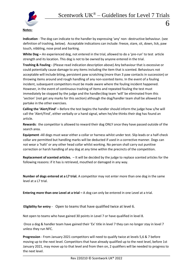

## **Notes:**

**Indication** - The dog can indicate to the handler by expressing 'any' non- destructive behaviour. (see definition of trashing, below). Acceptable indications can include: freeze, stare, sit, down, lick, paw touch, nibbling, nose prod and barking.

**White Dog –** An experienced dog, not entered in the trial, allowed to do a 'pre-run' to test article strength and its location. This dog is not to be owned by anyone entered in the trial.

**Trashing & Fouling** *-* (Please read indication description above) Any behaviour that is excessive or could potentially cause damage to any items including the item that is scented. Behaviours not acceptable will include biting, persistent paw scratching (more than 3 paw contacts in succession) or throwing items around and rough handling of any non-scented items. In the event of a fouling incident, subsequent competitors must be made aware where the fouling incident happened. However, in the event of continuous trashing of items and repeated fouling the test must immediately be stopped by the judge and the handler/dog team 'will' be eliminated from this 'section' (not get any marks for this section) although the dog/handler team shall be allowed to partake in the other exercises.

**Calling the 'Alert/Find' –** Before the test begins the handler should inform the judge how s/he will call the 'Alert/Find', either verbally or a hand signal, when he/she thinks their dog has found an article.

**Rewards**: the competitor is allowed to reward their dog ONLY once they have passed outside of the search area.

**Equipment -**All dogs must wear either a collar or harness whilst under test. Slip leads or a half-check collar are permitted but handling marks will be deducted if used in a corrective manner. Dogs can not wear a 'halti' or any other head collar whilst working. No person shall carry out punitive correction or harsh handling of any dog at any time within the precincts of the competition.

**Replacement of scented articles.** – It will be decided by the judge to replace scented articles for the following reasons: if it has is retrieved, mouthed or damaged in any way.

**Number of dogs entered at a L7 trial.** A competitor may not enter more than one dog in the same level at a L7 trial.

**Entering more than one Level at a trial –** A dog can only be entered in one Level at a trial.

**Eligibility for entry** - Open to teams that have qualified twice at level 6.

Not open to teams who have gained 30 points in Level 7 or have qualified in level 8.

Once a dog & handler team have gained their 'Ex' title in level 7 they can no longer stay in level 7 unless they run NFC.

**Progression** - From January 2021 competitors will need to qualify twice at levels 5,6 & 7 before moving up to the next level. Competitors that have already qualified up to the next level, before 1st January 2021, may move up to that level and from then on, 2 qualifiers will be needed to progress to the next level.